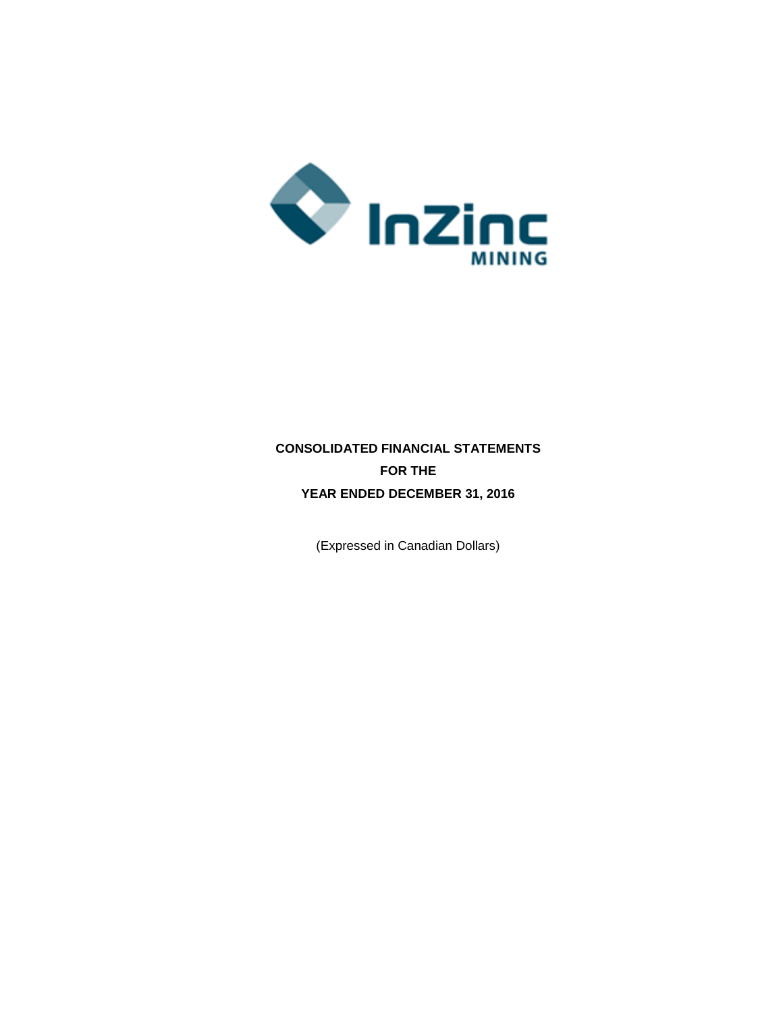

# **CONSOLIDATED FINANCIAL STATEMENTS FOR THE YEAR ENDED DECEMBER 31, 2016**

(Expressed in Canadian Dollars)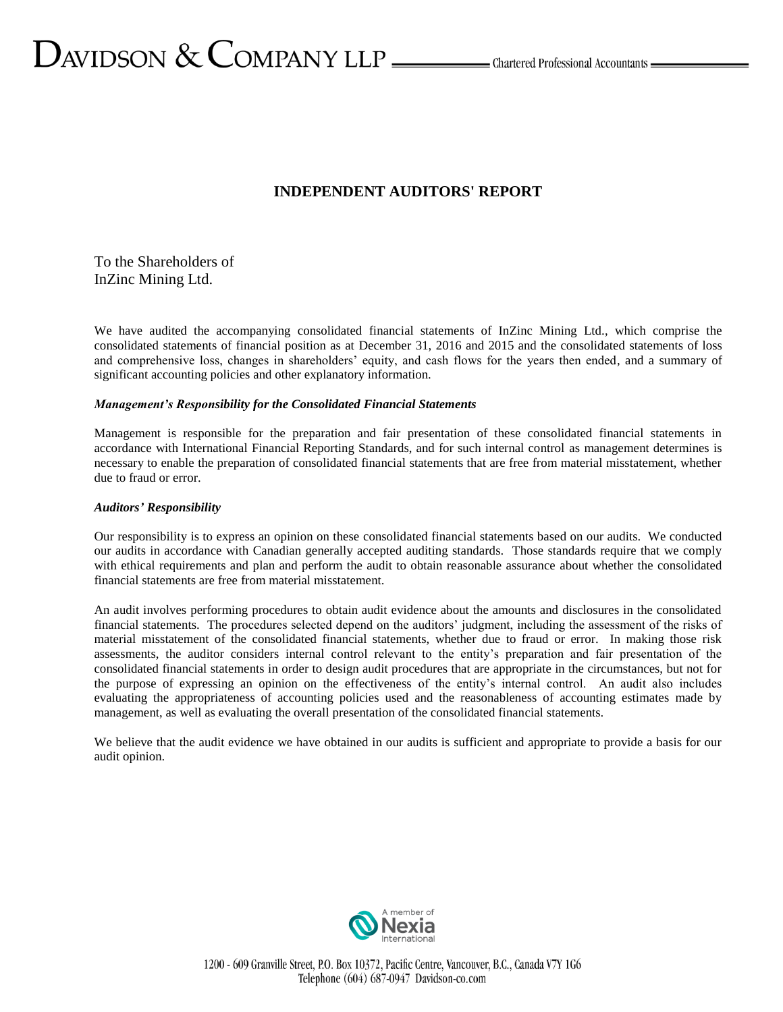# **INDEPENDENT AUDITORS' REPORT**

To the Shareholders of InZinc Mining Ltd.

We have audited the accompanying consolidated financial statements of InZinc Mining Ltd., which comprise the consolidated statements of financial position as at December 31, 2016 and 2015 and the consolidated statements of loss and comprehensive loss, changes in shareholders' equity, and cash flows for the years then ended, and a summary of significant accounting policies and other explanatory information.

#### *Management's Responsibility for the Consolidated Financial Statements*

Management is responsible for the preparation and fair presentation of these consolidated financial statements in accordance with International Financial Reporting Standards, and for such internal control as management determines is necessary to enable the preparation of consolidated financial statements that are free from material misstatement, whether due to fraud or error.

#### *Auditors' Responsibility*

Our responsibility is to express an opinion on these consolidated financial statements based on our audits. We conducted our audits in accordance with Canadian generally accepted auditing standards. Those standards require that we comply with ethical requirements and plan and perform the audit to obtain reasonable assurance about whether the consolidated financial statements are free from material misstatement.

An audit involves performing procedures to obtain audit evidence about the amounts and disclosures in the consolidated financial statements. The procedures selected depend on the auditors' judgment, including the assessment of the risks of material misstatement of the consolidated financial statements, whether due to fraud or error. In making those risk assessments, the auditor considers internal control relevant to the entity's preparation and fair presentation of the consolidated financial statements in order to design audit procedures that are appropriate in the circumstances, but not for the purpose of expressing an opinion on the effectiveness of the entity's internal control. An audit also includes evaluating the appropriateness of accounting policies used and the reasonableness of accounting estimates made by management, as well as evaluating the overall presentation of the consolidated financial statements.

We believe that the audit evidence we have obtained in our audits is sufficient and appropriate to provide a basis for our audit opinion.



1200 - 609 Granville Street, P.O. Box 10372, Pacific Centre, Vancouver, B.C., Canada V7Y 1G6 Telephone  $(604)$  687-0947 Davidson-co.com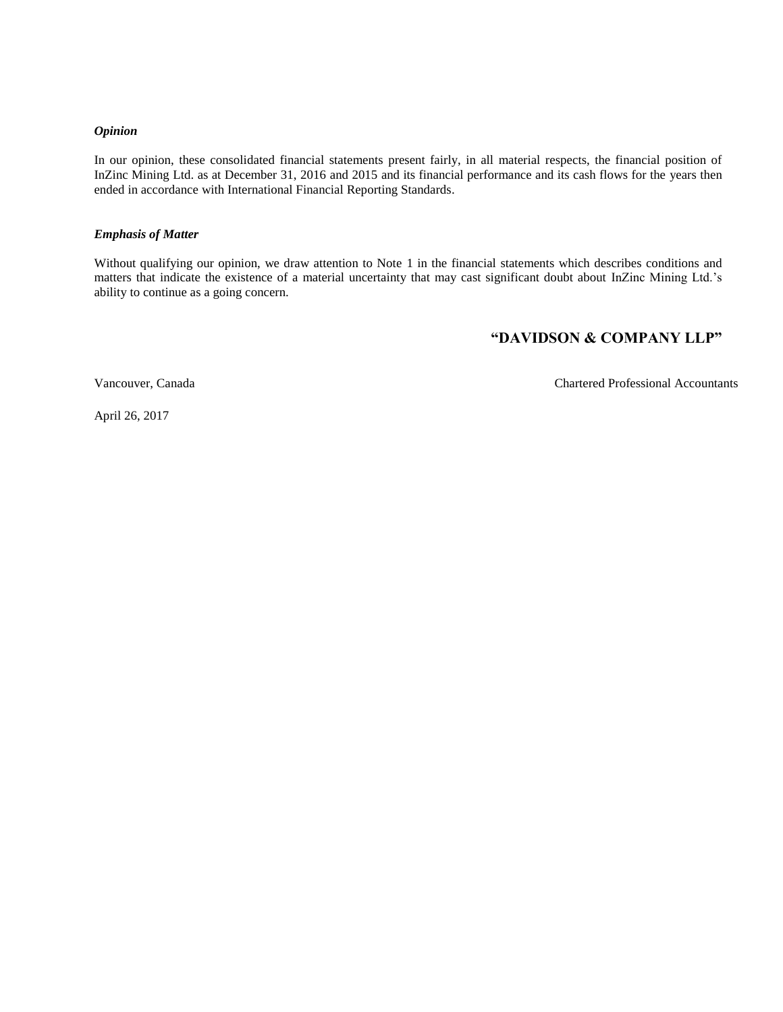#### *Opinion*

In our opinion, these consolidated financial statements present fairly, in all material respects, the financial position of InZinc Mining Ltd. as at December 31, 2016 and 2015 and its financial performance and its cash flows for the years then ended in accordance with International Financial Reporting Standards.

#### *Emphasis of Matter*

Without qualifying our opinion, we draw attention to Note 1 in the financial statements which describes conditions and matters that indicate the existence of a material uncertainty that may cast significant doubt about InZinc Mining Ltd.'s ability to continue as a going concern.

# **"DAVIDSON & COMPANY LLP"**

Vancouver, Canada Chartered Professional Accountants

April 26, 2017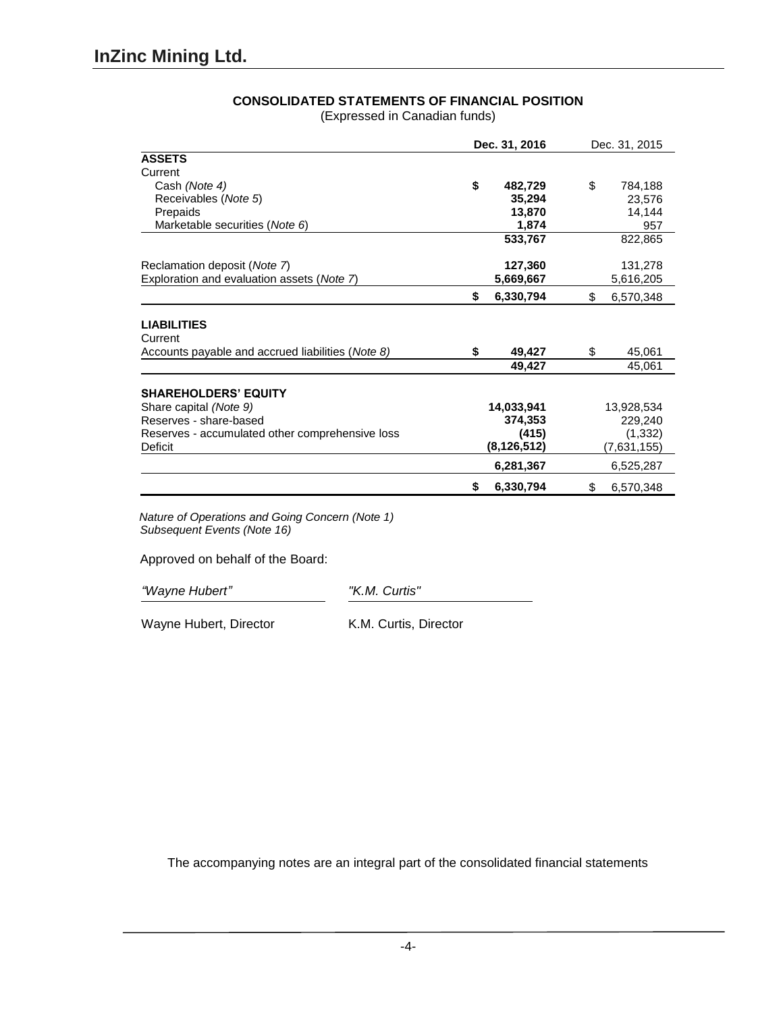| <b>CONSOLIDATED STATEMENTS OF FINANCIAL POSITION</b> |  |  |
|------------------------------------------------------|--|--|
|                                                      |  |  |

(Expressed in Canadian funds)

| Dec. 31, 2016                                     |                 | Dec. 31, 2015   |  |
|---------------------------------------------------|-----------------|-----------------|--|
| <b>ASSETS</b>                                     |                 |                 |  |
| Current                                           |                 |                 |  |
| Cash (Note 4)                                     | \$<br>482,729   | \$<br>784,188   |  |
| Receivables (Note 5)                              | 35,294          | 23,576          |  |
| Prepaids                                          | 13,870          | 14,144          |  |
| Marketable securities (Note 6)                    | 1,874           | 957             |  |
|                                                   | 533,767         | 822,865         |  |
| Reclamation deposit ( <i>Note</i> 7)              | 127,360         | 131,278         |  |
| Exploration and evaluation assets (Note 7)        | 5,669,667       | 5,616,205       |  |
|                                                   | \$<br>6,330,794 | \$<br>6,570,348 |  |
| <b>LIABILITIES</b><br>Current                     |                 |                 |  |
| Accounts payable and accrued liabilities (Note 8) | 49,427<br>\$    | \$<br>45,061    |  |
|                                                   | 49,427          | 45,061          |  |
| <b>SHAREHOLDERS' EQUITY</b>                       |                 |                 |  |
| Share capital (Note 9)                            | 14,033,941      | 13,928,534      |  |
| Reserves - share-based                            | 374,353         | 229,240         |  |
| Reserves - accumulated other comprehensive loss   | (415)           | (1, 332)        |  |
| Deficit                                           | (8, 126, 512)   | (7,631,155)     |  |
|                                                   | 6,281,367       | 6,525,287       |  |
|                                                   | 6,330,794<br>S  | 6,570,348<br>\$ |  |

*Nature of Operations and Going Concern (Note 1) Subsequent Events (Note 16)*

Approved on behalf of the Board:

*"Wayne Hubert" "K.M. Curtis"*

Wayne Hubert, Director K.M. Curtis, Director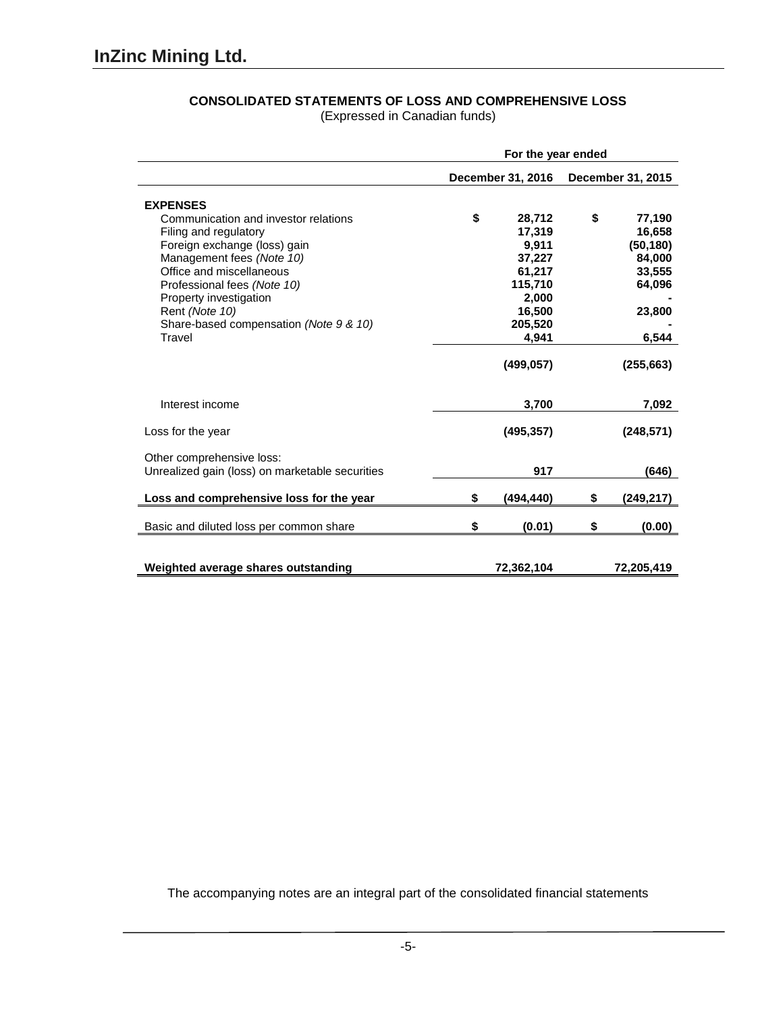| <b>CONSOLIDATED STATEMENTS OF LOSS AND COMPREHENSIVE LOSS</b> |  |  |  |  |
|---------------------------------------------------------------|--|--|--|--|
|                                                               |  |  |  |  |

(Expressed in Canadian funds)

|                                                                              | For the year ended |                   |    |                   |  |  |
|------------------------------------------------------------------------------|--------------------|-------------------|----|-------------------|--|--|
|                                                                              |                    | December 31, 2016 |    | December 31, 2015 |  |  |
| <b>EXPENSES</b>                                                              |                    |                   |    |                   |  |  |
| Communication and investor relations                                         | \$                 | 28,712            | \$ | 77,190            |  |  |
| Filing and regulatory                                                        |                    | 17,319            |    | 16,658            |  |  |
| Foreign exchange (loss) gain                                                 |                    | 9,911             |    | (50, 180)         |  |  |
| Management fees (Note 10)                                                    |                    | 37,227            |    | 84,000            |  |  |
| Office and miscellaneous                                                     |                    | 61,217            |    | 33,555            |  |  |
| Professional fees (Note 10)                                                  |                    | 115,710           |    | 64,096            |  |  |
| Property investigation                                                       |                    | 2,000             |    |                   |  |  |
| Rent (Note 10)                                                               |                    | 16,500            |    | 23,800            |  |  |
| Share-based compensation (Note 9 & 10)                                       |                    | 205,520           |    |                   |  |  |
| Travel                                                                       |                    | 4,941             |    | 6,544             |  |  |
|                                                                              |                    | (499, 057)        |    | (255, 663)        |  |  |
| Interest income                                                              |                    | 3,700             |    | 7,092             |  |  |
| Loss for the year                                                            |                    | (495, 357)        |    | (248, 571)        |  |  |
| Other comprehensive loss:<br>Unrealized gain (loss) on marketable securities |                    | 917               |    | (646)             |  |  |
| Loss and comprehensive loss for the year                                     | \$                 | (494, 440)        | \$ | (249, 217)        |  |  |
| Basic and diluted loss per common share                                      | \$                 | (0.01)            | \$ | (0.00)            |  |  |
| Weighted average shares outstanding                                          |                    | 72,362,104        |    | 72,205,419        |  |  |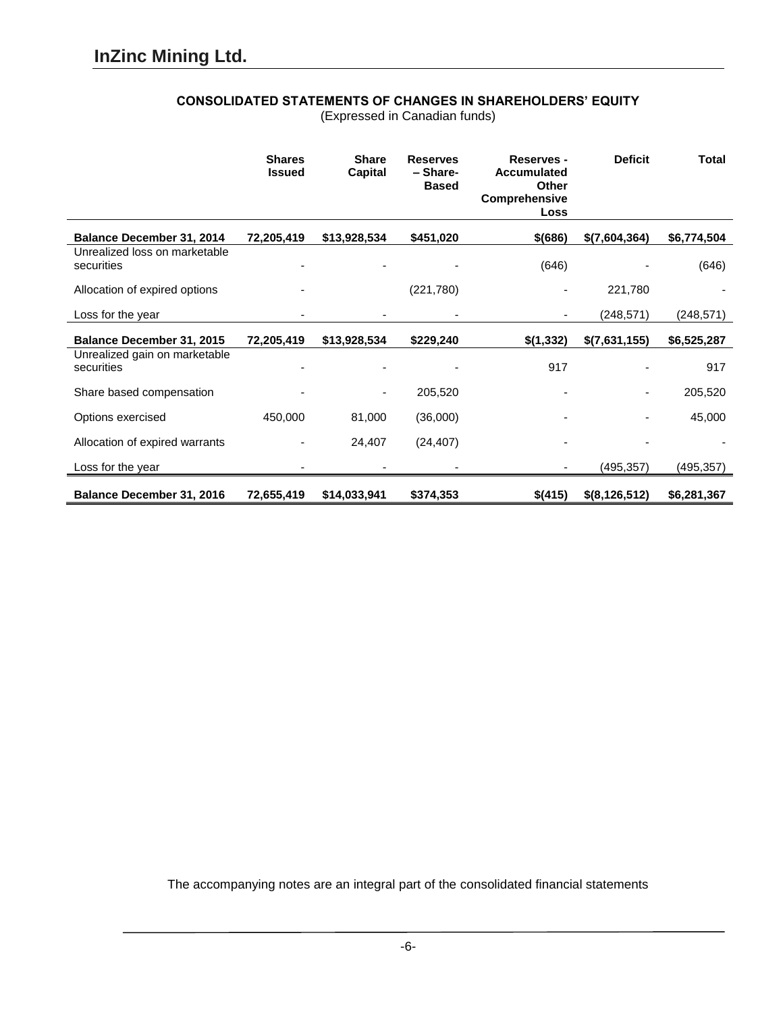# **CONSOLIDATED STATEMENTS OF CHANGES IN SHAREHOLDERS' EQUITY**

(Expressed in Canadian funds)

|                                             | <b>Shares</b><br><b>Issued</b> | <b>Share</b><br>Capital | <b>Reserves</b><br>- Share-<br><b>Based</b> | <b>Reserves -</b><br><b>Accumulated</b><br><b>Other</b><br><b>Comprehensive</b><br>Loss | <b>Deficit</b> | <b>Total</b> |
|---------------------------------------------|--------------------------------|-------------------------|---------------------------------------------|-----------------------------------------------------------------------------------------|----------------|--------------|
| <b>Balance December 31, 2014</b>            | 72,205,419                     | \$13,928,534            | \$451,020                                   | $$$ (686)                                                                               | \$(7,604,364)  | \$6,774,504  |
| Unrealized loss on marketable<br>securities |                                |                         |                                             | (646)                                                                                   |                | (646)        |
| Allocation of expired options               |                                |                         | (221,780)                                   |                                                                                         | 221,780        |              |
| Loss for the year                           |                                |                         |                                             |                                                                                         | (248, 571)     | (248, 571)   |
| Balance December 31, 2015                   | 72,205,419                     | \$13,928,534            | \$229,240                                   | \$(1,332)                                                                               | \$(7,631,155)  | \$6,525,287  |
| Unrealized gain on marketable<br>securities |                                |                         |                                             | 917                                                                                     |                | 917          |
| Share based compensation                    |                                |                         | 205,520                                     |                                                                                         |                | 205,520      |
| Options exercised                           | 450,000                        | 81,000                  | (36,000)                                    |                                                                                         |                | 45,000       |
| Allocation of expired warrants              |                                | 24,407                  | (24, 407)                                   |                                                                                         |                |              |
| Loss for the year                           | $\overline{\phantom{0}}$       |                         |                                             |                                                                                         | (495, 357)     | (495,357)    |
| Balance December 31, 2016                   | 72,655,419                     | \$14,033,941            | \$374,353                                   | \$(415)                                                                                 | \$(8,126,512)  | \$6,281,367  |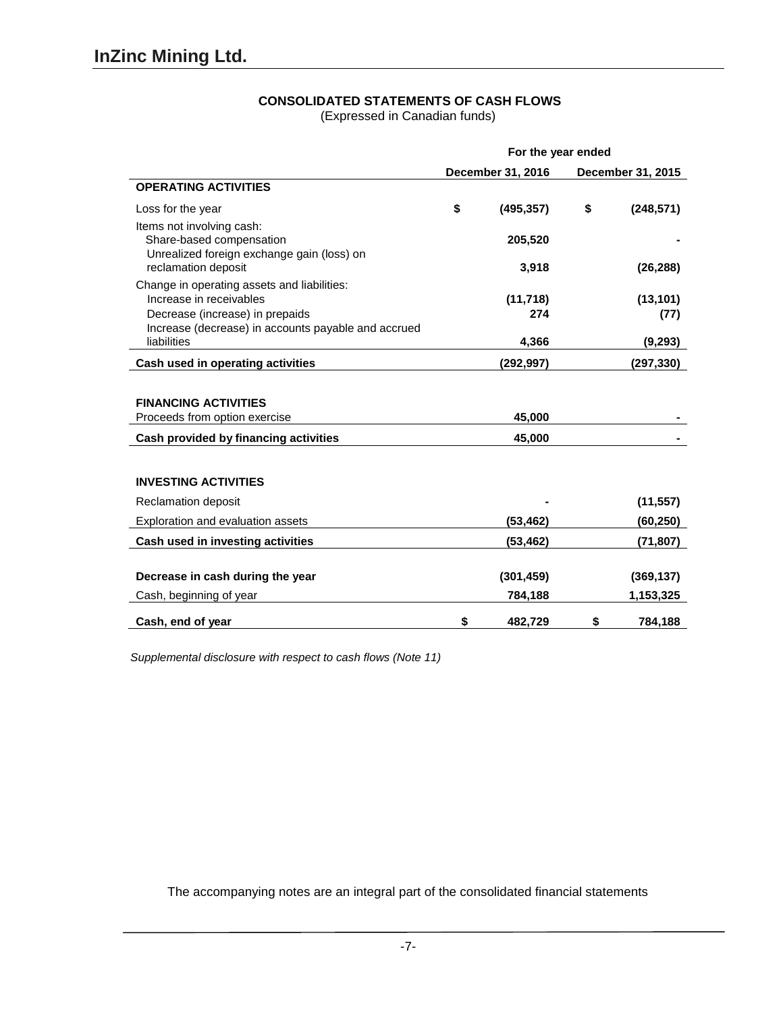(Expressed in Canadian funds)

|                                                                                                                            | For the year ended                     |                  |    |            |  |
|----------------------------------------------------------------------------------------------------------------------------|----------------------------------------|------------------|----|------------|--|
|                                                                                                                            | December 31, 2016<br>December 31, 2015 |                  |    |            |  |
| <b>OPERATING ACTIVITIES</b>                                                                                                |                                        |                  |    |            |  |
| Loss for the year                                                                                                          | \$                                     | (495, 357)       | \$ | (248, 571) |  |
| Items not involving cash:<br>Share-based compensation<br>Unrealized foreign exchange gain (loss) on<br>reclamation deposit |                                        | 205,520<br>3,918 |    | (26, 288)  |  |
| Change in operating assets and liabilities:                                                                                |                                        |                  |    |            |  |
| Increase in receivables                                                                                                    |                                        | (11, 718)        |    | (13, 101)  |  |
| Decrease (increase) in prepaids                                                                                            |                                        | 274              |    | (77)       |  |
| Increase (decrease) in accounts payable and accrued                                                                        |                                        |                  |    |            |  |
| liabilities                                                                                                                |                                        | 4,366            |    | (9,293)    |  |
| Cash used in operating activities                                                                                          |                                        | (292, 997)       |    | (297, 330) |  |
|                                                                                                                            |                                        |                  |    |            |  |
| <b>FINANCING ACTIVITIES</b>                                                                                                |                                        |                  |    |            |  |
| Proceeds from option exercise                                                                                              |                                        | 45,000           |    |            |  |
| Cash provided by financing activities                                                                                      |                                        | 45,000           |    |            |  |
|                                                                                                                            |                                        |                  |    |            |  |
| <b>INVESTING ACTIVITIES</b>                                                                                                |                                        |                  |    |            |  |
| Reclamation deposit                                                                                                        |                                        |                  |    | (11, 557)  |  |
| Exploration and evaluation assets                                                                                          |                                        | (53, 462)        |    | (60, 250)  |  |
| Cash used in investing activities                                                                                          |                                        | (53,462)         |    | (71, 807)  |  |
|                                                                                                                            |                                        |                  |    |            |  |
| Decrease in cash during the year                                                                                           |                                        | (301, 459)       |    | (369, 137) |  |
| Cash, beginning of year                                                                                                    |                                        | 784,188          |    | 1,153,325  |  |
| Cash, end of year                                                                                                          | \$                                     | 482,729          | \$ | 784,188    |  |

*Supplemental disclosure with respect to cash flows (Note 11)*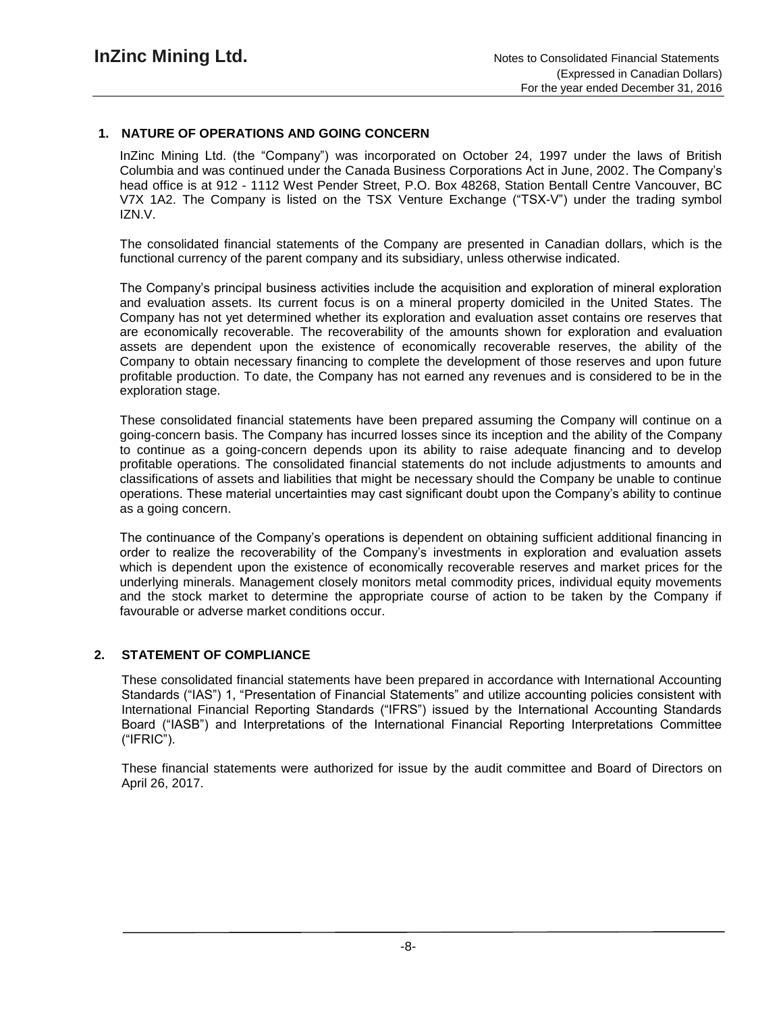# **1. NATURE OF OPERATIONS AND GOING CONCERN**

InZinc Mining Ltd. (the "Company") was incorporated on October 24, 1997 under the laws of British Columbia and was continued under the Canada Business Corporations Act in June, 2002. The Company's head office is at 912 - 1112 West Pender Street, P.O. Box 48268, Station Bentall Centre Vancouver, BC V7X 1A2. The Company is listed on the TSX Venture Exchange ("TSX-V") under the trading symbol IZN.V.

The consolidated financial statements of the Company are presented in Canadian dollars, which is the functional currency of the parent company and its subsidiary, unless otherwise indicated.

The Company's principal business activities include the acquisition and exploration of mineral exploration and evaluation assets. Its current focus is on a mineral property domiciled in the United States. The Company has not yet determined whether its exploration and evaluation asset contains ore reserves that are economically recoverable. The recoverability of the amounts shown for exploration and evaluation assets are dependent upon the existence of economically recoverable reserves, the ability of the Company to obtain necessary financing to complete the development of those reserves and upon future profitable production. To date, the Company has not earned any revenues and is considered to be in the exploration stage.

These consolidated financial statements have been prepared assuming the Company will continue on a going-concern basis. The Company has incurred losses since its inception and the ability of the Company to continue as a going-concern depends upon its ability to raise adequate financing and to develop profitable operations. The consolidated financial statements do not include adjustments to amounts and classifications of assets and liabilities that might be necessary should the Company be unable to continue operations. These material uncertainties may cast significant doubt upon the Company's ability to continue as a going concern.

The continuance of the Company's operations is dependent on obtaining sufficient additional financing in order to realize the recoverability of the Company's investments in exploration and evaluation assets which is dependent upon the existence of economically recoverable reserves and market prices for the underlying minerals. Management closely monitors metal commodity prices, individual equity movements and the stock market to determine the appropriate course of action to be taken by the Company if favourable or adverse market conditions occur.

## **2. STATEMENT OF COMPLIANCE**

These consolidated financial statements have been prepared in accordance with International Accounting Standards ("IAS") 1, "Presentation of Financial Statements" and utilize accounting policies consistent with International Financial Reporting Standards ("IFRS") issued by the International Accounting Standards Board ("IASB") and Interpretations of the International Financial Reporting Interpretations Committee ("IFRIC").

These financial statements were authorized for issue by the audit committee and Board of Directors on April 26, 2017.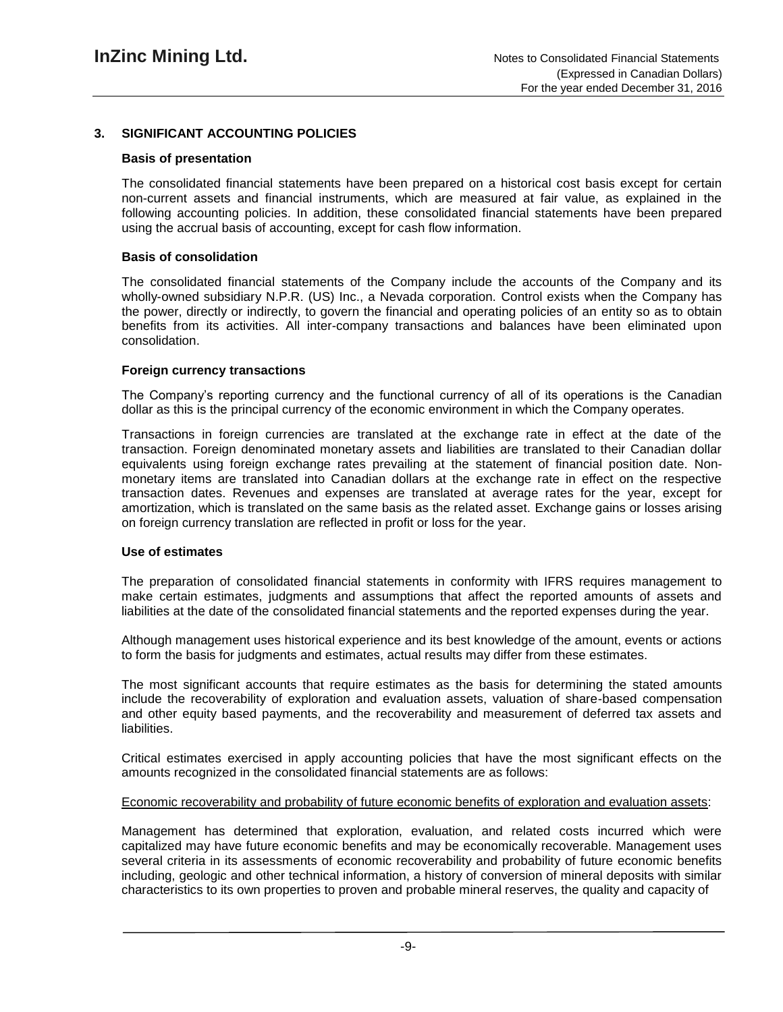# **3. SIGNIFICANT ACCOUNTING POLICIES**

#### **Basis of presentation**

The consolidated financial statements have been prepared on a historical cost basis except for certain non-current assets and financial instruments, which are measured at fair value, as explained in the following accounting policies. In addition, these consolidated financial statements have been prepared using the accrual basis of accounting, except for cash flow information.

#### **Basis of consolidation**

The consolidated financial statements of the Company include the accounts of the Company and its wholly-owned subsidiary N.P.R. (US) Inc., a Nevada corporation. Control exists when the Company has the power, directly or indirectly, to govern the financial and operating policies of an entity so as to obtain benefits from its activities. All inter-company transactions and balances have been eliminated upon consolidation.

#### **Foreign currency transactions**

The Company's reporting currency and the functional currency of all of its operations is the Canadian dollar as this is the principal currency of the economic environment in which the Company operates.

Transactions in foreign currencies are translated at the exchange rate in effect at the date of the transaction. Foreign denominated monetary assets and liabilities are translated to their Canadian dollar equivalents using foreign exchange rates prevailing at the statement of financial position date. Nonmonetary items are translated into Canadian dollars at the exchange rate in effect on the respective transaction dates. Revenues and expenses are translated at average rates for the year, except for amortization, which is translated on the same basis as the related asset. Exchange gains or losses arising on foreign currency translation are reflected in profit or loss for the year.

#### **Use of estimates**

The preparation of consolidated financial statements in conformity with IFRS requires management to make certain estimates, judgments and assumptions that affect the reported amounts of assets and liabilities at the date of the consolidated financial statements and the reported expenses during the year.

Although management uses historical experience and its best knowledge of the amount, events or actions to form the basis for judgments and estimates, actual results may differ from these estimates.

The most significant accounts that require estimates as the basis for determining the stated amounts include the recoverability of exploration and evaluation assets, valuation of share-based compensation and other equity based payments, and the recoverability and measurement of deferred tax assets and liabilities.

Critical estimates exercised in apply accounting policies that have the most significant effects on the amounts recognized in the consolidated financial statements are as follows:

#### Economic recoverability and probability of future economic benefits of exploration and evaluation assets:

Management has determined that exploration, evaluation, and related costs incurred which were capitalized may have future economic benefits and may be economically recoverable. Management uses several criteria in its assessments of economic recoverability and probability of future economic benefits including, geologic and other technical information, a history of conversion of mineral deposits with similar characteristics to its own properties to proven and probable mineral reserves, the quality and capacity of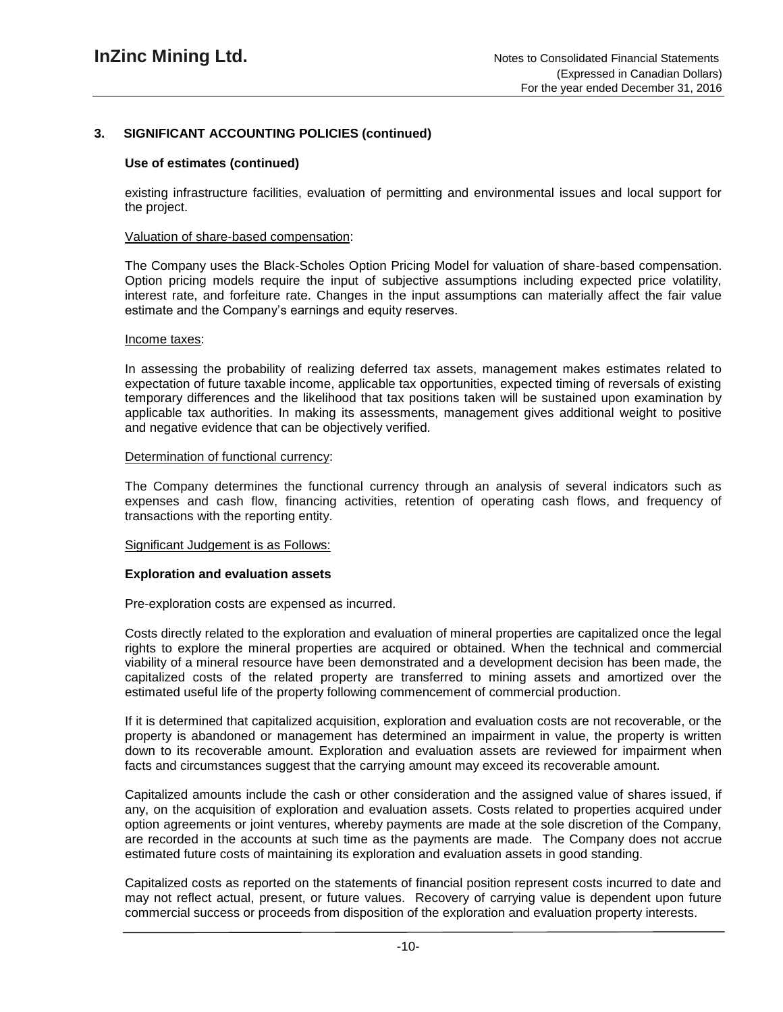#### **Use of estimates (continued)**

existing infrastructure facilities, evaluation of permitting and environmental issues and local support for the project.

#### Valuation of share-based compensation:

The Company uses the Black-Scholes Option Pricing Model for valuation of share-based compensation. Option pricing models require the input of subjective assumptions including expected price volatility, interest rate, and forfeiture rate. Changes in the input assumptions can materially affect the fair value estimate and the Company's earnings and equity reserves.

#### Income taxes:

In assessing the probability of realizing deferred tax assets, management makes estimates related to expectation of future taxable income, applicable tax opportunities, expected timing of reversals of existing temporary differences and the likelihood that tax positions taken will be sustained upon examination by applicable tax authorities. In making its assessments, management gives additional weight to positive and negative evidence that can be objectively verified.

#### Determination of functional currency:

The Company determines the functional currency through an analysis of several indicators such as expenses and cash flow, financing activities, retention of operating cash flows, and frequency of transactions with the reporting entity.

#### Significant Judgement is as Follows:

#### **Exploration and evaluation assets**

Pre-exploration costs are expensed as incurred.

Costs directly related to the exploration and evaluation of mineral properties are capitalized once the legal rights to explore the mineral properties are acquired or obtained. When the technical and commercial viability of a mineral resource have been demonstrated and a development decision has been made, the capitalized costs of the related property are transferred to mining assets and amortized over the estimated useful life of the property following commencement of commercial production.

If it is determined that capitalized acquisition, exploration and evaluation costs are not recoverable, or the property is abandoned or management has determined an impairment in value, the property is written down to its recoverable amount. Exploration and evaluation assets are reviewed for impairment when facts and circumstances suggest that the carrying amount may exceed its recoverable amount.

Capitalized amounts include the cash or other consideration and the assigned value of shares issued, if any, on the acquisition of exploration and evaluation assets. Costs related to properties acquired under option agreements or joint ventures, whereby payments are made at the sole discretion of the Company, are recorded in the accounts at such time as the payments are made. The Company does not accrue estimated future costs of maintaining its exploration and evaluation assets in good standing.

Capitalized costs as reported on the statements of financial position represent costs incurred to date and may not reflect actual, present, or future values. Recovery of carrying value is dependent upon future commercial success or proceeds from disposition of the exploration and evaluation property interests.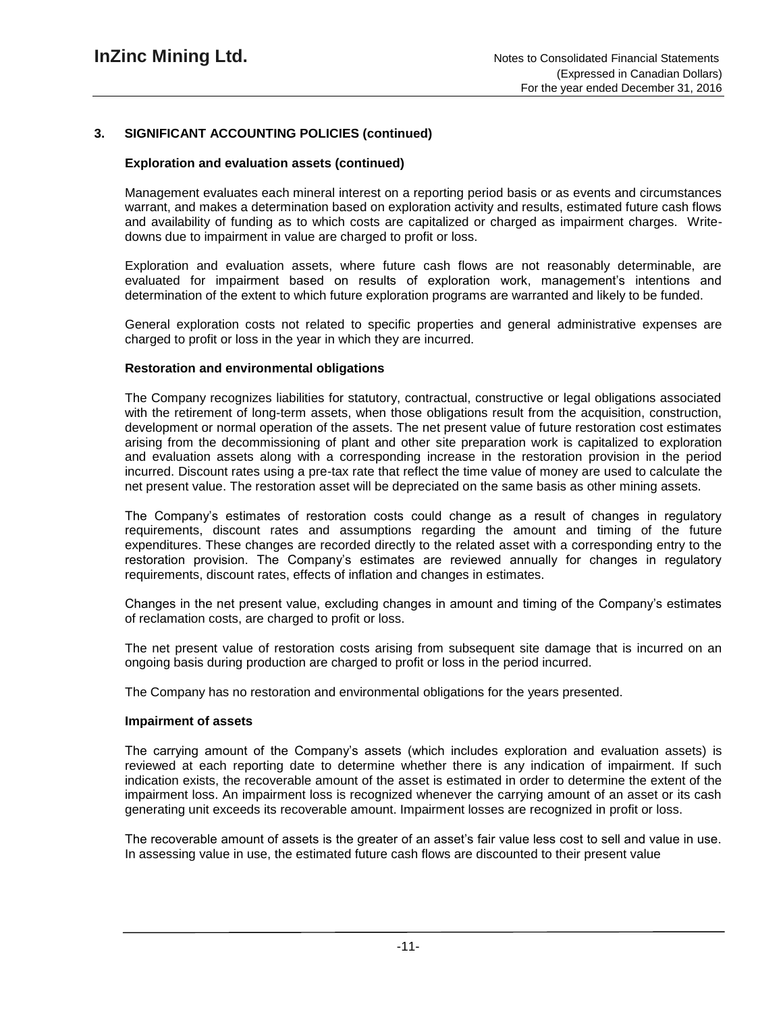# **Exploration and evaluation assets (continued)**

Management evaluates each mineral interest on a reporting period basis or as events and circumstances warrant, and makes a determination based on exploration activity and results, estimated future cash flows and availability of funding as to which costs are capitalized or charged as impairment charges. Writedowns due to impairment in value are charged to profit or loss.

Exploration and evaluation assets, where future cash flows are not reasonably determinable, are evaluated for impairment based on results of exploration work, management's intentions and determination of the extent to which future exploration programs are warranted and likely to be funded.

General exploration costs not related to specific properties and general administrative expenses are charged to profit or loss in the year in which they are incurred.

## **Restoration and environmental obligations**

The Company recognizes liabilities for statutory, contractual, constructive or legal obligations associated with the retirement of long-term assets, when those obligations result from the acquisition, construction, development or normal operation of the assets. The net present value of future restoration cost estimates arising from the decommissioning of plant and other site preparation work is capitalized to exploration and evaluation assets along with a corresponding increase in the restoration provision in the period incurred. Discount rates using a pre-tax rate that reflect the time value of money are used to calculate the net present value. The restoration asset will be depreciated on the same basis as other mining assets.

The Company's estimates of restoration costs could change as a result of changes in regulatory requirements, discount rates and assumptions regarding the amount and timing of the future expenditures. These changes are recorded directly to the related asset with a corresponding entry to the restoration provision. The Company's estimates are reviewed annually for changes in regulatory requirements, discount rates, effects of inflation and changes in estimates.

Changes in the net present value, excluding changes in amount and timing of the Company's estimates of reclamation costs, are charged to profit or loss.

The net present value of restoration costs arising from subsequent site damage that is incurred on an ongoing basis during production are charged to profit or loss in the period incurred.

The Company has no restoration and environmental obligations for the years presented.

## **Impairment of assets**

The carrying amount of the Company's assets (which includes exploration and evaluation assets) is reviewed at each reporting date to determine whether there is any indication of impairment. If such indication exists, the recoverable amount of the asset is estimated in order to determine the extent of the impairment loss. An impairment loss is recognized whenever the carrying amount of an asset or its cash generating unit exceeds its recoverable amount. Impairment losses are recognized in profit or loss.

The recoverable amount of assets is the greater of an asset's fair value less cost to sell and value in use. In assessing value in use, the estimated future cash flows are discounted to their present value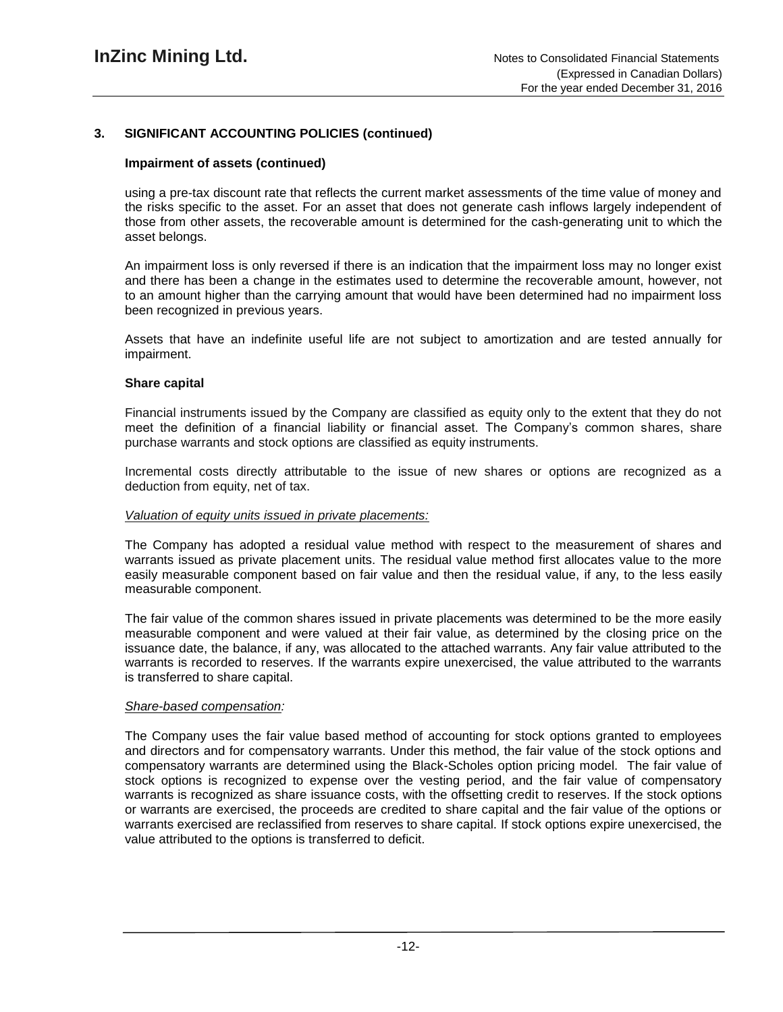# **Impairment of assets (continued)**

using a pre-tax discount rate that reflects the current market assessments of the time value of money and the risks specific to the asset. For an asset that does not generate cash inflows largely independent of those from other assets, the recoverable amount is determined for the cash-generating unit to which the asset belongs.

An impairment loss is only reversed if there is an indication that the impairment loss may no longer exist and there has been a change in the estimates used to determine the recoverable amount, however, not to an amount higher than the carrying amount that would have been determined had no impairment loss been recognized in previous years.

Assets that have an indefinite useful life are not subject to amortization and are tested annually for impairment.

#### **Share capital**

Financial instruments issued by the Company are classified as equity only to the extent that they do not meet the definition of a financial liability or financial asset. The Company's common shares, share purchase warrants and stock options are classified as equity instruments.

Incremental costs directly attributable to the issue of new shares or options are recognized as a deduction from equity, net of tax.

#### *Valuation of equity units issued in private placements:*

The Company has adopted a residual value method with respect to the measurement of shares and warrants issued as private placement units. The residual value method first allocates value to the more easily measurable component based on fair value and then the residual value, if any, to the less easily measurable component.

The fair value of the common shares issued in private placements was determined to be the more easily measurable component and were valued at their fair value, as determined by the closing price on the issuance date, the balance, if any, was allocated to the attached warrants. Any fair value attributed to the warrants is recorded to reserves. If the warrants expire unexercised, the value attributed to the warrants is transferred to share capital.

#### *Share-based compensation:*

The Company uses the fair value based method of accounting for stock options granted to employees and directors and for compensatory warrants. Under this method, the fair value of the stock options and compensatory warrants are determined using the Black-Scholes option pricing model. The fair value of stock options is recognized to expense over the vesting period, and the fair value of compensatory warrants is recognized as share issuance costs, with the offsetting credit to reserves. If the stock options or warrants are exercised, the proceeds are credited to share capital and the fair value of the options or warrants exercised are reclassified from reserves to share capital. If stock options expire unexercised, the value attributed to the options is transferred to deficit.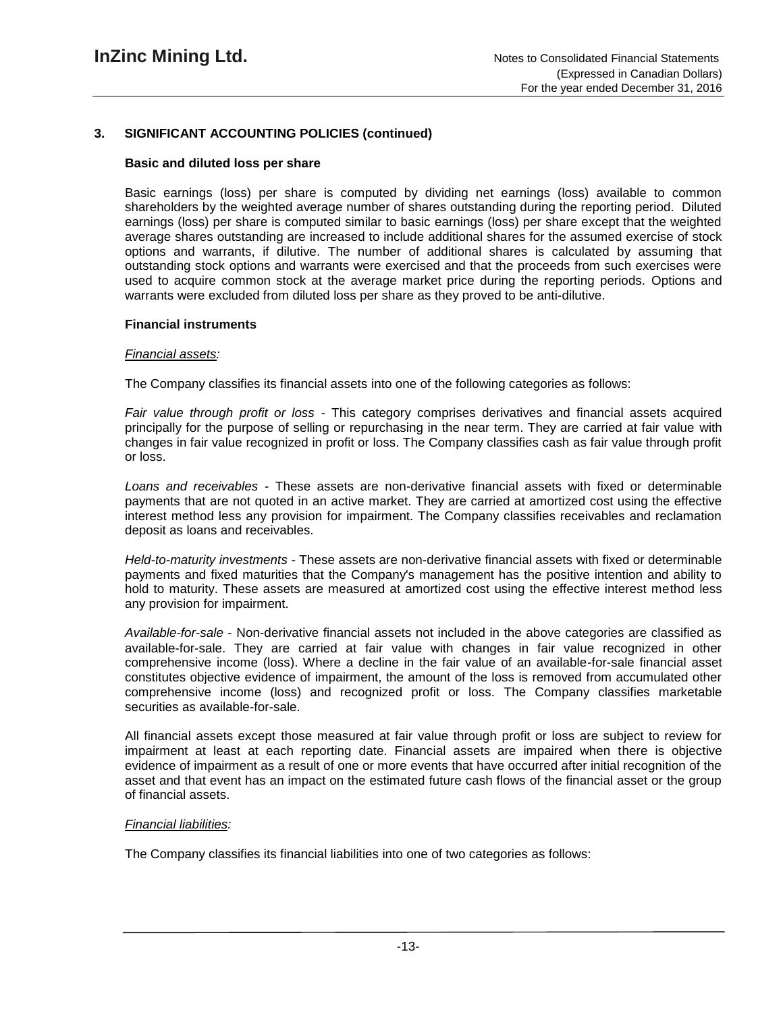## **Basic and diluted loss per share**

Basic earnings (loss) per share is computed by dividing net earnings (loss) available to common shareholders by the weighted average number of shares outstanding during the reporting period. Diluted earnings (loss) per share is computed similar to basic earnings (loss) per share except that the weighted average shares outstanding are increased to include additional shares for the assumed exercise of stock options and warrants, if dilutive. The number of additional shares is calculated by assuming that outstanding stock options and warrants were exercised and that the proceeds from such exercises were used to acquire common stock at the average market price during the reporting periods. Options and warrants were excluded from diluted loss per share as they proved to be anti-dilutive.

## **Financial instruments**

## *Financial assets:*

The Company classifies its financial assets into one of the following categories as follows:

*Fair value through profit or loss -* This category comprises derivatives and financial assets acquired principally for the purpose of selling or repurchasing in the near term. They are carried at fair value with changes in fair value recognized in profit or loss. The Company classifies cash as fair value through profit or loss.

*Loans and receivables -* These assets are non-derivative financial assets with fixed or determinable payments that are not quoted in an active market. They are carried at amortized cost using the effective interest method less any provision for impairment. The Company classifies receivables and reclamation deposit as loans and receivables.

*Held-to-maturity investments* - These assets are non-derivative financial assets with fixed or determinable payments and fixed maturities that the Company's management has the positive intention and ability to hold to maturity. These assets are measured at amortized cost using the effective interest method less any provision for impairment.

*Available-for-sale* - Non-derivative financial assets not included in the above categories are classified as available-for-sale. They are carried at fair value with changes in fair value recognized in other comprehensive income (loss). Where a decline in the fair value of an available-for-sale financial asset constitutes objective evidence of impairment, the amount of the loss is removed from accumulated other comprehensive income (loss) and recognized profit or loss. The Company classifies marketable securities as available-for-sale.

All financial assets except those measured at fair value through profit or loss are subject to review for impairment at least at each reporting date. Financial assets are impaired when there is objective evidence of impairment as a result of one or more events that have occurred after initial recognition of the asset and that event has an impact on the estimated future cash flows of the financial asset or the group of financial assets.

## *Financial liabilities:*

The Company classifies its financial liabilities into one of two categories as follows: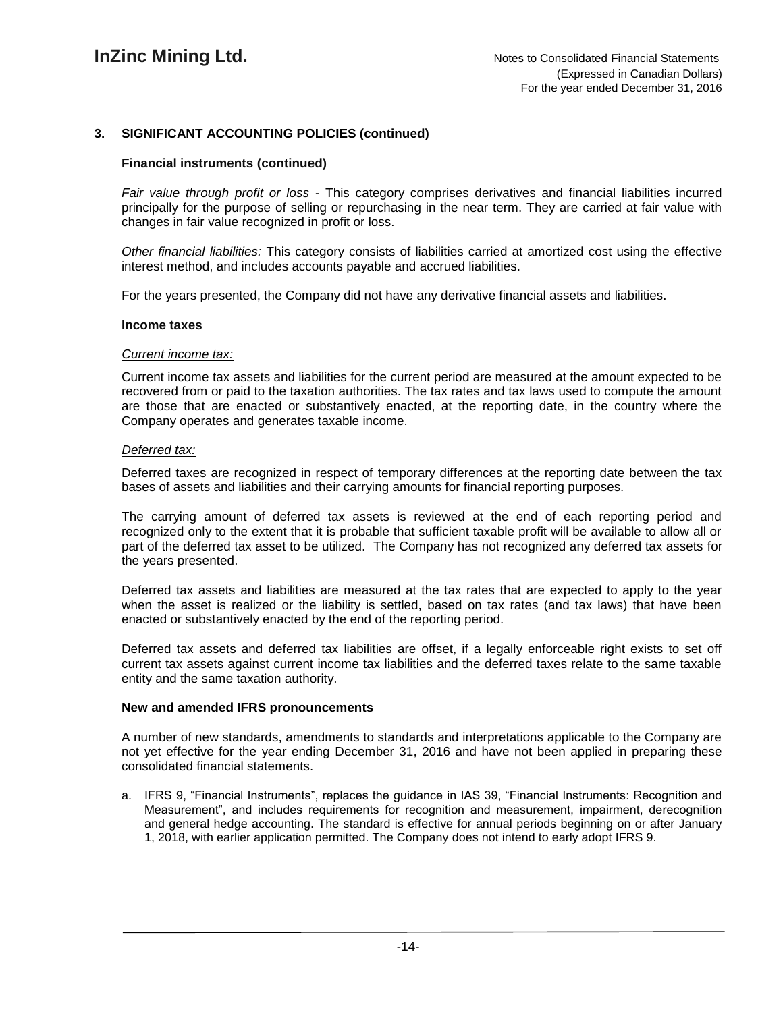### **Financial instruments (continued)**

*Fair value through profit or loss* - This category comprises derivatives and financial liabilities incurred principally for the purpose of selling or repurchasing in the near term. They are carried at fair value with changes in fair value recognized in profit or loss.

*Other financial liabilities:* This category consists of liabilities carried at amortized cost using the effective interest method, and includes accounts payable and accrued liabilities.

For the years presented, the Company did not have any derivative financial assets and liabilities.

#### **Income taxes**

#### *Current income tax:*

Current income tax assets and liabilities for the current period are measured at the amount expected to be recovered from or paid to the taxation authorities. The tax rates and tax laws used to compute the amount are those that are enacted or substantively enacted, at the reporting date, in the country where the Company operates and generates taxable income.

#### *Deferred tax:*

Deferred taxes are recognized in respect of temporary differences at the reporting date between the tax bases of assets and liabilities and their carrying amounts for financial reporting purposes.

The carrying amount of deferred tax assets is reviewed at the end of each reporting period and recognized only to the extent that it is probable that sufficient taxable profit will be available to allow all or part of the deferred tax asset to be utilized. The Company has not recognized any deferred tax assets for the years presented.

Deferred tax assets and liabilities are measured at the tax rates that are expected to apply to the year when the asset is realized or the liability is settled, based on tax rates (and tax laws) that have been enacted or substantively enacted by the end of the reporting period.

Deferred tax assets and deferred tax liabilities are offset, if a legally enforceable right exists to set off current tax assets against current income tax liabilities and the deferred taxes relate to the same taxable entity and the same taxation authority.

#### **New and amended IFRS pronouncements**

A number of new standards, amendments to standards and interpretations applicable to the Company are not yet effective for the year ending December 31, 2016 and have not been applied in preparing these consolidated financial statements.

a. IFRS 9, "Financial Instruments", replaces the guidance in IAS 39, "Financial Instruments: Recognition and Measurement", and includes requirements for recognition and measurement, impairment, derecognition and general hedge accounting. The standard is effective for annual periods beginning on or after January 1, 2018, with earlier application permitted. The Company does not intend to early adopt IFRS 9.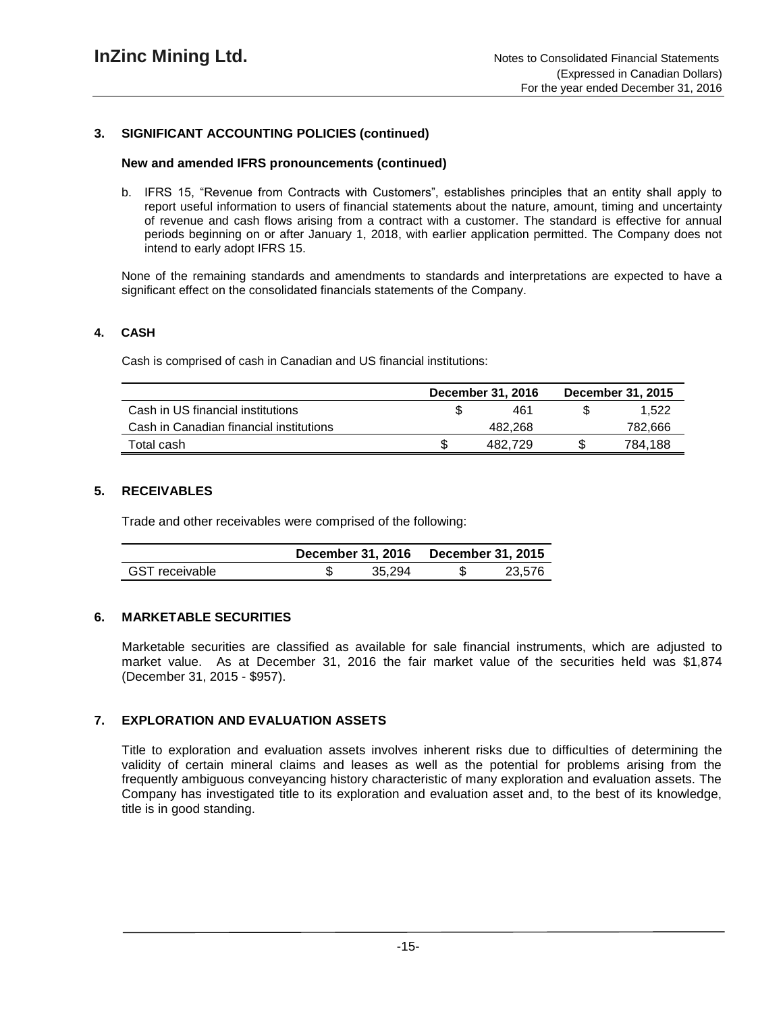#### **New and amended IFRS pronouncements (continued)**

b. IFRS 15, "Revenue from Contracts with Customers", establishes principles that an entity shall apply to report useful information to users of financial statements about the nature, amount, timing and uncertainty of revenue and cash flows arising from a contract with a customer. The standard is effective for annual periods beginning on or after January 1, 2018, with earlier application permitted. The Company does not intend to early adopt IFRS 15.

None of the remaining standards and amendments to standards and interpretations are expected to have a significant effect on the consolidated financials statements of the Company.

#### **4. CASH**

Cash is comprised of cash in Canadian and US financial institutions:

|                                         | December 31, 2016 |         | December 31, 2015 |
|-----------------------------------------|-------------------|---------|-------------------|
| Cash in US financial institutions       |                   | 461     | 1.522             |
| Cash in Canadian financial institutions |                   | 482.268 | 782,666           |
| Total cash                              |                   | 482.729 | 784.188           |

## **5. RECEIVABLES**

Trade and other receivables were comprised of the following:

|                       | December 31, 2016 |        | <b>December 31, 2015</b> |        |  |
|-----------------------|-------------------|--------|--------------------------|--------|--|
| <b>GST</b> receivable |                   | 35.294 |                          | 23.576 |  |

# **6. MARKETABLE SECURITIES**

Marketable securities are classified as available for sale financial instruments, which are adjusted to market value. As at December 31, 2016 the fair market value of the securities held was \$1,874 (December 31, 2015 - \$957).

## **7. EXPLORATION AND EVALUATION ASSETS**

Title to exploration and evaluation assets involves inherent risks due to difficulties of determining the validity of certain mineral claims and leases as well as the potential for problems arising from the frequently ambiguous conveyancing history characteristic of many exploration and evaluation assets. The Company has investigated title to its exploration and evaluation asset and, to the best of its knowledge, title is in good standing.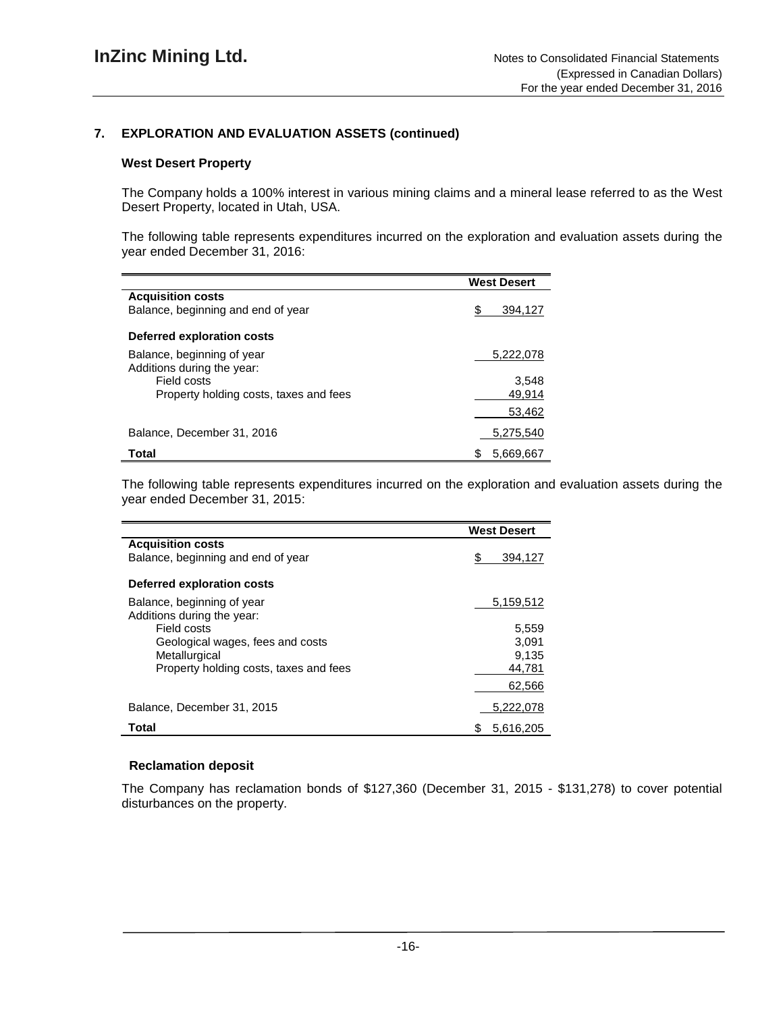# **7. EXPLORATION AND EVALUATION ASSETS (continued)**

### **West Desert Property**

The Company holds a 100% interest in various mining claims and a mineral lease referred to as the West Desert Property, located in Utah, USA.

The following table represents expenditures incurred on the exploration and evaluation assets during the year ended December 31, 2016:

|                                                          | <b>West Desert</b> |
|----------------------------------------------------------|--------------------|
| <b>Acquisition costs</b>                                 |                    |
| Balance, beginning and end of year                       | S<br>394.127       |
| Deferred exploration costs                               |                    |
| Balance, beginning of year<br>Additions during the year: | 5,222,078          |
| Field costs                                              | 3.548              |
| Property holding costs, taxes and fees                   | 49.914             |
|                                                          | 53,462             |
| Balance, December 31, 2016                               | 5.275.540          |
| Total                                                    | 5.669.667<br>S     |

The following table represents expenditures incurred on the exploration and evaluation assets during the year ended December 31, 2015:

|                                        | <b>West Desert</b> |
|----------------------------------------|--------------------|
| <b>Acquisition costs</b>               |                    |
| Balance, beginning and end of year     | \$<br>394.127      |
| Deferred exploration costs             |                    |
| Balance, beginning of year             | 5,159,512          |
| Additions during the year:             |                    |
| Field costs                            | 5,559              |
| Geological wages, fees and costs       | 3,091              |
| Metallurgical                          | 9.135              |
| Property holding costs, taxes and fees | 44,781             |
|                                        | 62.566             |
| Balance, December 31, 2015             | 5,222,078          |
| Total                                  | 5.616.205<br>S     |

#### **Reclamation deposit**

The Company has reclamation bonds of \$127,360 (December 31, 2015 - \$131,278) to cover potential disturbances on the property.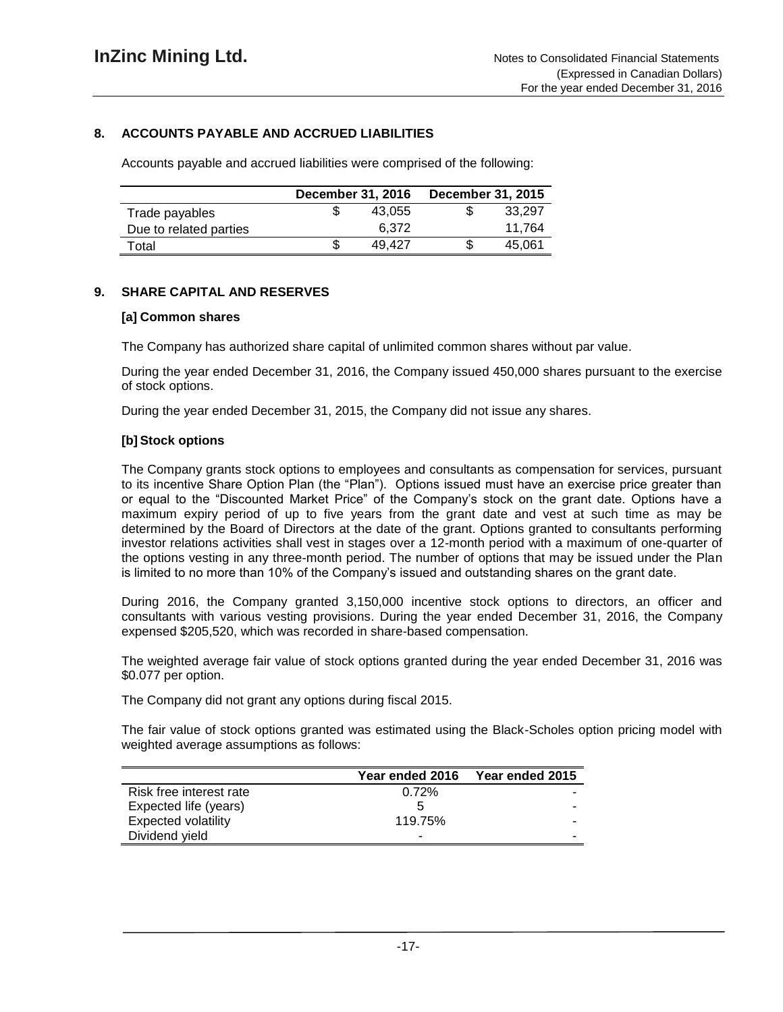# **8. ACCOUNTS PAYABLE AND ACCRUED LIABILITIES**

Accounts payable and accrued liabilities were comprised of the following:

|                        | <b>December 31, 2016</b> |        | <b>December 31, 2015</b> |        |
|------------------------|--------------------------|--------|--------------------------|--------|
| Trade payables         |                          | 43.055 | ъD                       | 33.297 |
| Due to related parties |                          | 6.372  |                          | 11.764 |
| Total                  |                          | 49.427 |                          | 45.061 |

## **9. SHARE CAPITAL AND RESERVES**

#### **[a] Common shares**

The Company has authorized share capital of unlimited common shares without par value.

During the year ended December 31, 2016, the Company issued 450,000 shares pursuant to the exercise of stock options.

During the year ended December 31, 2015, the Company did not issue any shares.

## **[b] Stock options**

The Company grants stock options to employees and consultants as compensation for services, pursuant to its incentive Share Option Plan (the "Plan"). Options issued must have an exercise price greater than or equal to the "Discounted Market Price" of the Company's stock on the grant date. Options have a maximum expiry period of up to five years from the grant date and vest at such time as may be determined by the Board of Directors at the date of the grant. Options granted to consultants performing investor relations activities shall vest in stages over a 12-month period with a maximum of one-quarter of the options vesting in any three-month period. The number of options that may be issued under the Plan is limited to no more than 10% of the Company's issued and outstanding shares on the grant date.

During 2016, the Company granted 3,150,000 incentive stock options to directors, an officer and consultants with various vesting provisions. During the year ended December 31, 2016, the Company expensed \$205,520, which was recorded in share-based compensation.

The weighted average fair value of stock options granted during the year ended December 31, 2016 was \$0.077 per option.

The Company did not grant any options during fiscal 2015.

The fair value of stock options granted was estimated using the Black-Scholes option pricing model with weighted average assumptions as follows:

|                         | Year ended 2016 | Year ended 2015 |
|-------------------------|-----------------|-----------------|
| Risk free interest rate | 0.72%           |                 |
| Expected life (years)   | 5               |                 |
| Expected volatility     | 119.75%         | -               |
| Dividend yield          | -               |                 |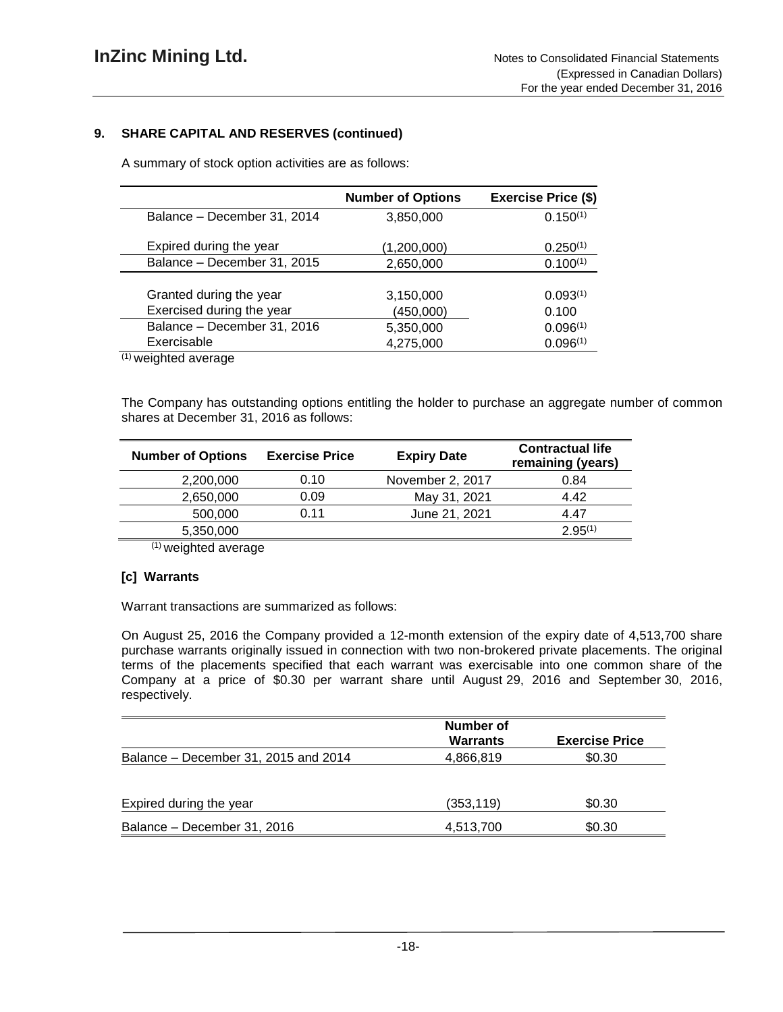# **9. SHARE CAPITAL AND RESERVES (continued)**

A summary of stock option activities are as follows:

|                                                                                                                                                                                                                                                                                                                                             | <b>Number of Options</b> | <b>Exercise Price (\$)</b> |
|---------------------------------------------------------------------------------------------------------------------------------------------------------------------------------------------------------------------------------------------------------------------------------------------------------------------------------------------|--------------------------|----------------------------|
| Balance - December 31, 2014                                                                                                                                                                                                                                                                                                                 | 3,850,000                | $0.150^{(1)}$              |
| Expired during the year                                                                                                                                                                                                                                                                                                                     | (1,200,000)              | $0.250^{(1)}$              |
| Balance - December 31, 2015                                                                                                                                                                                                                                                                                                                 | 2,650,000                | $0.100^{(1)}$              |
|                                                                                                                                                                                                                                                                                                                                             |                          |                            |
| Granted during the year                                                                                                                                                                                                                                                                                                                     | 3,150,000                | $0.093^{(1)}$              |
| Exercised during the year                                                                                                                                                                                                                                                                                                                   | (450,000)                | 0.100                      |
| Balance - December 31, 2016                                                                                                                                                                                                                                                                                                                 | 5,350,000                | 0.096(1)                   |
| Exercisable                                                                                                                                                                                                                                                                                                                                 | 4,275,000                | 0.096(1)                   |
| $(4)$ $\qquad \qquad$ $\qquad$ $\qquad$ $\qquad$ $\qquad$ $\qquad$ $\qquad$ $\qquad$ $\qquad$ $\qquad$ $\qquad$ $\qquad$ $\qquad$ $\qquad$ $\qquad$ $\qquad$ $\qquad$ $\qquad$ $\qquad$ $\qquad$ $\qquad$ $\qquad$ $\qquad$ $\qquad$ $\qquad$ $\qquad$ $\qquad$ $\qquad$ $\qquad$ $\qquad$ $\qquad$ $\qquad$ $\qquad$ $\qquad$ $\qquad$ $\$ |                          |                            |

 $(1)$  weighted average

The Company has outstanding options entitling the holder to purchase an aggregate number of common shares at December 31, 2016 as follows:

| <b>Number of Options</b> | <b>Exercise Price</b> | <b>Expiry Date</b> | <b>Contractual life</b><br>remaining (years) |
|--------------------------|-----------------------|--------------------|----------------------------------------------|
| 2,200,000                | 0.10                  | November 2, 2017   | 0.84                                         |
| 2,650,000                | 0.09                  | May 31, 2021       | 4.42                                         |
| 500,000                  | 0.11                  | June 21, 2021      | 4.47                                         |
| 5,350,000                |                       |                    | $2.95^{(1)}$                                 |

(1) weighted average

# **[c] Warrants**

Warrant transactions are summarized as follows:

On August 25, 2016 the Company provided a 12-month extension of the expiry date of 4,513,700 share purchase warrants originally issued in connection with two non-brokered private placements. The original terms of the placements specified that each warrant was exercisable into one common share of the Company at a price of \$0.30 per warrant share until August 29, 2016 and September 30, 2016, respectively.

|                                      | <b>Number of</b><br><b>Warrants</b> | <b>Exercise Price</b> |
|--------------------------------------|-------------------------------------|-----------------------|
| Balance – December 31, 2015 and 2014 | 4,866,819                           | \$0.30                |
|                                      |                                     |                       |
| Expired during the year              | (353, 119)                          | \$0.30                |
| Balance - December 31, 2016          | 4,513,700                           | \$0.30                |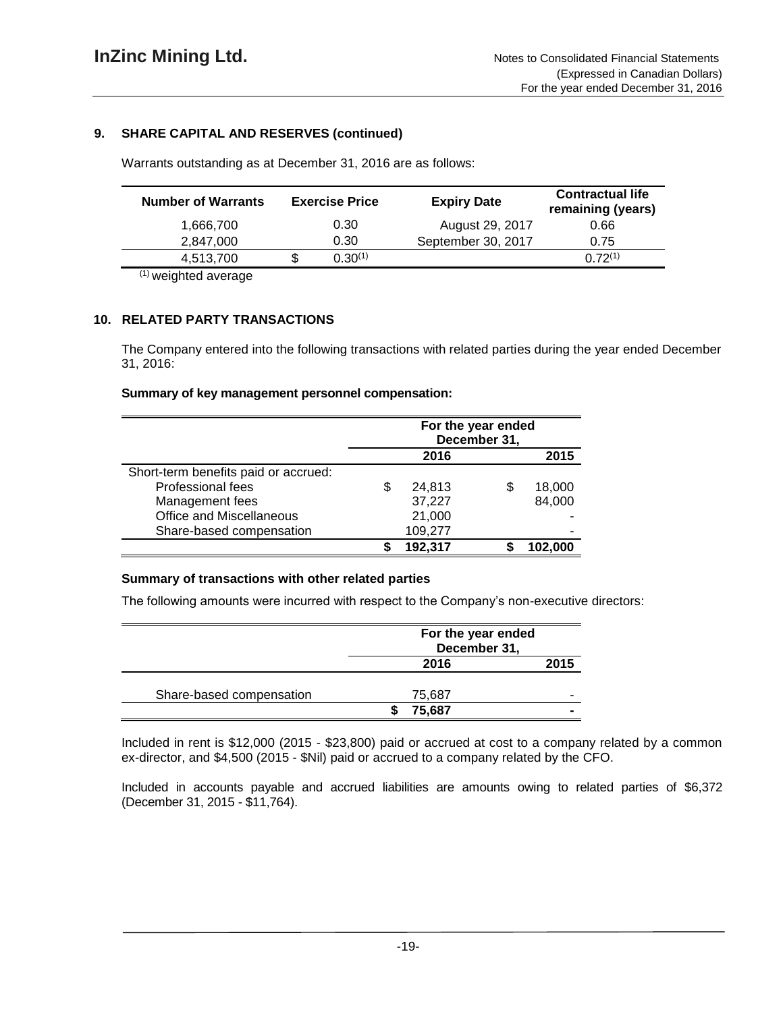# **9. SHARE CAPITAL AND RESERVES (continued)**

Warrants outstanding as at December 31, 2016 are as follows:

| <b>Number of Warrants</b> | <b>Exercise Price</b> |         | <b>Expiry Date</b> | <b>Contractual life</b><br>remaining (years) |
|---------------------------|-----------------------|---------|--------------------|----------------------------------------------|
| 1.666.700                 |                       | 0.30    | August 29, 2017    | 0.66                                         |
| 2.847.000                 |                       | 0.30    | September 30, 2017 | 0.75                                         |
| 4,513,700                 |                       | 0.30(1) |                    | $(1)$ 72 $(1)$                               |

(1) weighted average

# **10. RELATED PARTY TRANSACTIONS**

The Company entered into the following transactions with related parties during the year ended December 31, 2016:

#### **Summary of key management personnel compensation:**

|                                      | For the year ended<br>December 31, |         |    |         |
|--------------------------------------|------------------------------------|---------|----|---------|
|                                      | 2016                               |         |    | 2015    |
| Short-term benefits paid or accrued: |                                    |         |    |         |
| Professional fees                    | \$                                 | 24,813  | \$ | 18,000  |
| Management fees                      |                                    | 37,227  |    | 84,000  |
| <b>Office and Miscellaneous</b>      |                                    | 21,000  |    |         |
| Share-based compensation             |                                    | 109,277 |    |         |
|                                      |                                    | 192,317 |    | 102.000 |

## **Summary of transactions with other related parties**

The following amounts were incurred with respect to the Company's non-executive directors:

|                          | For the year ended<br>December 31, |      |
|--------------------------|------------------------------------|------|
|                          | 2016                               | 2015 |
| Share-based compensation | 75,687                             |      |
|                          | 75,687                             |      |

Included in rent is \$12,000 (2015 - \$23,800) paid or accrued at cost to a company related by a common ex-director, and \$4,500 (2015 - \$Nil) paid or accrued to a company related by the CFO.

Included in accounts payable and accrued liabilities are amounts owing to related parties of \$6,372 (December 31, 2015 - \$11,764).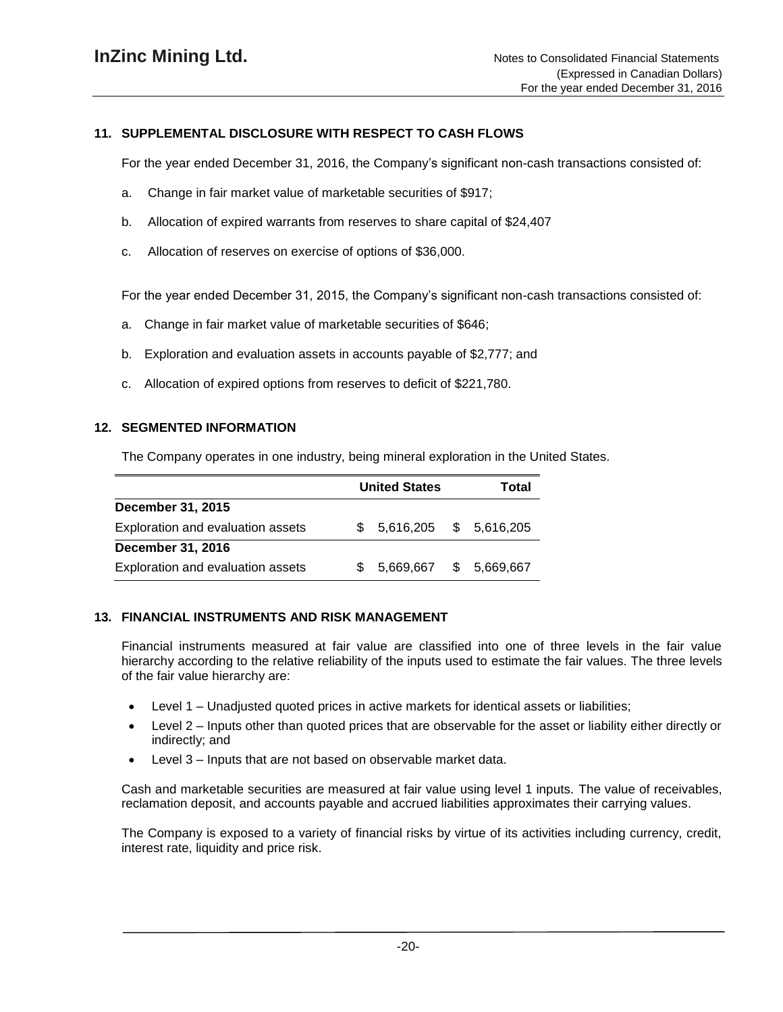# **11. SUPPLEMENTAL DISCLOSURE WITH RESPECT TO CASH FLOWS**

For the year ended December 31, 2016, the Company's significant non-cash transactions consisted of:

- a. Change in fair market value of marketable securities of \$917;
- b. Allocation of expired warrants from reserves to share capital of \$24,407
- c. Allocation of reserves on exercise of options of \$36,000.

For the year ended December 31, 2015, the Company's significant non-cash transactions consisted of:

- a. Change in fair market value of marketable securities of \$646;
- b. Exploration and evaluation assets in accounts payable of \$2,777; and
- c. Allocation of expired options from reserves to deficit of \$221,780.

### **12. SEGMENTED INFORMATION**

The Company operates in one industry, being mineral exploration in the United States.

|                                   | <b>United States</b>      | Total       |
|-----------------------------------|---------------------------|-------------|
| December 31, 2015                 |                           |             |
| Exploration and evaluation assets | $$5,616,205$ $$5,616,205$ |             |
| December 31, 2016                 |                           |             |
| Exploration and evaluation assets | 5,669,667                 | \$5,669,667 |

#### **13. FINANCIAL INSTRUMENTS AND RISK MANAGEMENT**

Financial instruments measured at fair value are classified into one of three levels in the fair value hierarchy according to the relative reliability of the inputs used to estimate the fair values. The three levels of the fair value hierarchy are:

- Level 1 Unadjusted quoted prices in active markets for identical assets or liabilities;
- Level 2 Inputs other than quoted prices that are observable for the asset or liability either directly or indirectly; and
- Level 3 Inputs that are not based on observable market data.

Cash and marketable securities are measured at fair value using level 1 inputs. The value of receivables, reclamation deposit, and accounts payable and accrued liabilities approximates their carrying values.

The Company is exposed to a variety of financial risks by virtue of its activities including currency, credit, interest rate, liquidity and price risk.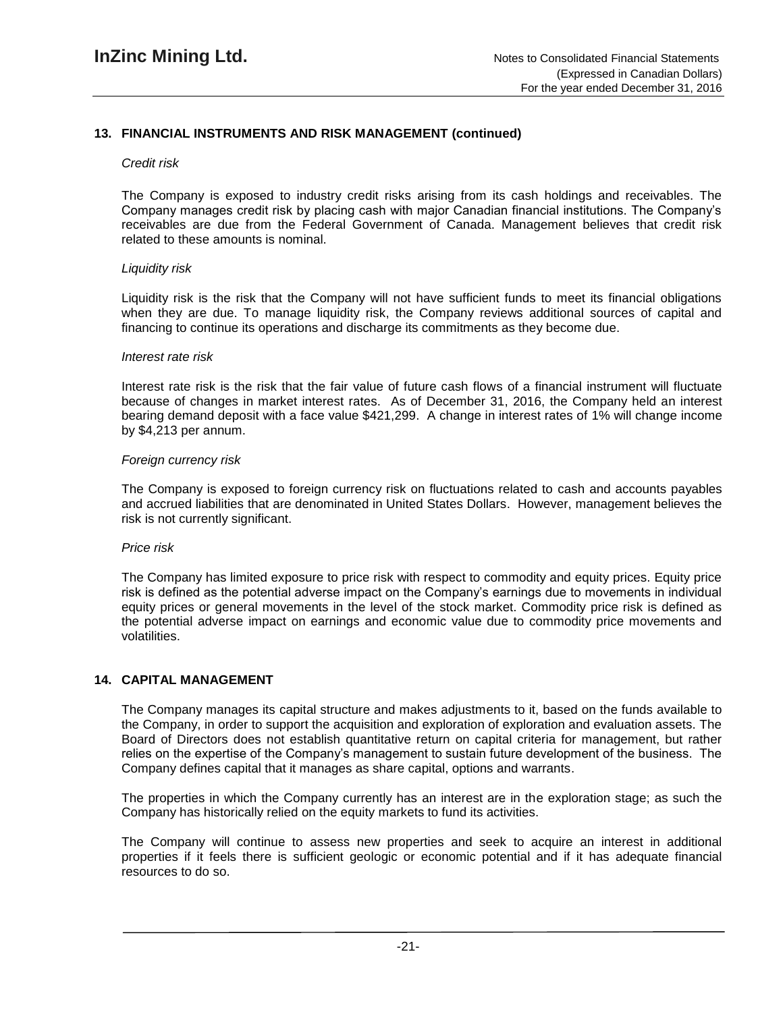# **13. FINANCIAL INSTRUMENTS AND RISK MANAGEMENT (continued)**

#### *Credit risk*

The Company is exposed to industry credit risks arising from its cash holdings and receivables. The Company manages credit risk by placing cash with major Canadian financial institutions. The Company's receivables are due from the Federal Government of Canada. Management believes that credit risk related to these amounts is nominal.

#### *Liquidity risk*

Liquidity risk is the risk that the Company will not have sufficient funds to meet its financial obligations when they are due. To manage liquidity risk, the Company reviews additional sources of capital and financing to continue its operations and discharge its commitments as they become due.

#### *Interest rate risk*

Interest rate risk is the risk that the fair value of future cash flows of a financial instrument will fluctuate because of changes in market interest rates. As of December 31, 2016, the Company held an interest bearing demand deposit with a face value \$421,299. A change in interest rates of 1% will change income by \$4,213 per annum.

#### *Foreign currency risk*

The Company is exposed to foreign currency risk on fluctuations related to cash and accounts payables and accrued liabilities that are denominated in United States Dollars. However, management believes the risk is not currently significant.

#### *Price risk*

The Company has limited exposure to price risk with respect to commodity and equity prices. Equity price risk is defined as the potential adverse impact on the Company's earnings due to movements in individual equity prices or general movements in the level of the stock market. Commodity price risk is defined as the potential adverse impact on earnings and economic value due to commodity price movements and volatilities.

#### **14. CAPITAL MANAGEMENT**

The Company manages its capital structure and makes adjustments to it, based on the funds available to the Company, in order to support the acquisition and exploration of exploration and evaluation assets. The Board of Directors does not establish quantitative return on capital criteria for management, but rather relies on the expertise of the Company's management to sustain future development of the business. The Company defines capital that it manages as share capital, options and warrants.

The properties in which the Company currently has an interest are in the exploration stage; as such the Company has historically relied on the equity markets to fund its activities.

The Company will continue to assess new properties and seek to acquire an interest in additional properties if it feels there is sufficient geologic or economic potential and if it has adequate financial resources to do so.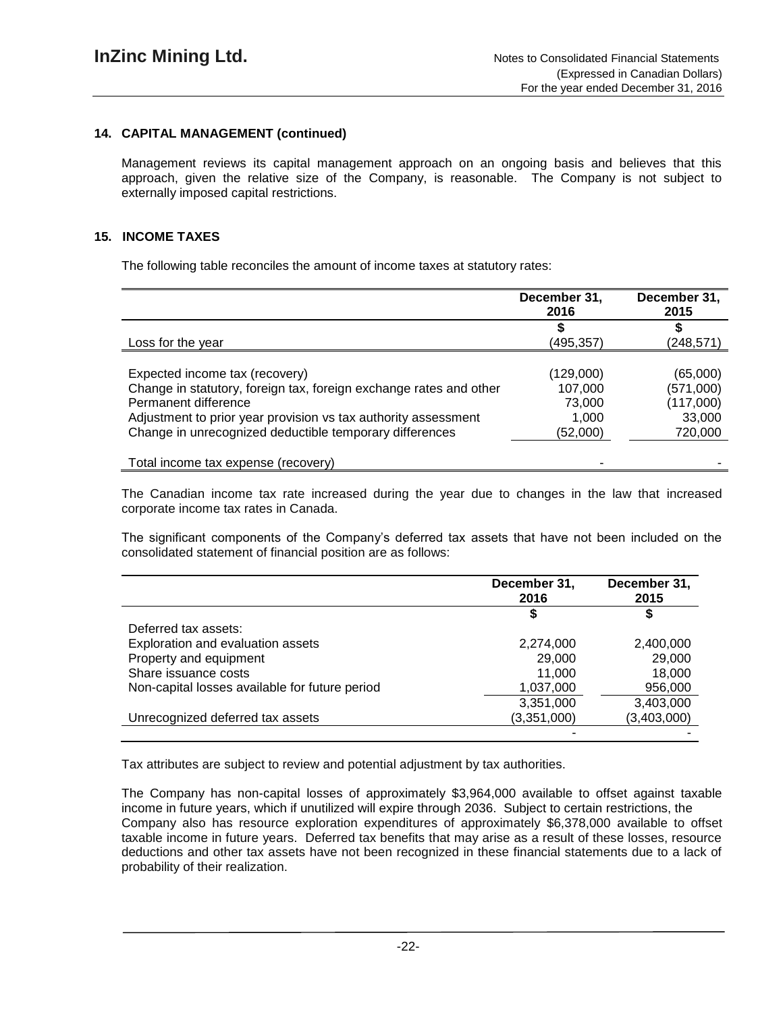# **14. CAPITAL MANAGEMENT (continued)**

Management reviews its capital management approach on an ongoing basis and believes that this approach, given the relative size of the Company, is reasonable. The Company is not subject to externally imposed capital restrictions.

### **15. INCOME TAXES**

The following table reconciles the amount of income taxes at statutory rates:

|                                                                    | December 31,<br>2016 | December 31,<br>2015 |
|--------------------------------------------------------------------|----------------------|----------------------|
|                                                                    |                      |                      |
| Loss for the year                                                  | (495,357)            | (248, 571)           |
|                                                                    |                      |                      |
| Expected income tax (recovery)                                     | (129,000)            | (65,000)             |
| Change in statutory, foreign tax, foreign exchange rates and other | 107,000              | (571,000)            |
| Permanent difference                                               | 73,000               | (117,000)            |
| Adjustment to prior year provision vs tax authority assessment     | 1.000                | 33,000               |
| Change in unrecognized deductible temporary differences            | (52,000)             | 720,000              |
| Total income tax expense (recovery)                                |                      |                      |

The Canadian income tax rate increased during the year due to changes in the law that increased corporate income tax rates in Canada.

The significant components of the Company's deferred tax assets that have not been included on the consolidated statement of financial position are as follows:

|                                                | December 31,<br>2016 | December 31,<br>2015 |
|------------------------------------------------|----------------------|----------------------|
|                                                |                      |                      |
| Deferred tax assets:                           |                      |                      |
| Exploration and evaluation assets              | 2,274,000            | 2,400,000            |
| Property and equipment                         | 29,000               | 29,000               |
| Share issuance costs                           | 11,000               | 18.000               |
| Non-capital losses available for future period | 1,037,000            | 956,000              |
|                                                | 3,351,000            | 3,403,000            |
| Unrecognized deferred tax assets               | (3,351,000)          | (3,403,000)          |
|                                                |                      |                      |

Tax attributes are subject to review and potential adjustment by tax authorities.

The Company has non-capital losses of approximately \$3,964,000 available to offset against taxable income in future years, which if unutilized will expire through 2036. Subject to certain restrictions, the Company also has resource exploration expenditures of approximately \$6,378,000 available to offset taxable income in future years. Deferred tax benefits that may arise as a result of these losses, resource deductions and other tax assets have not been recognized in these financial statements due to a lack of probability of their realization.